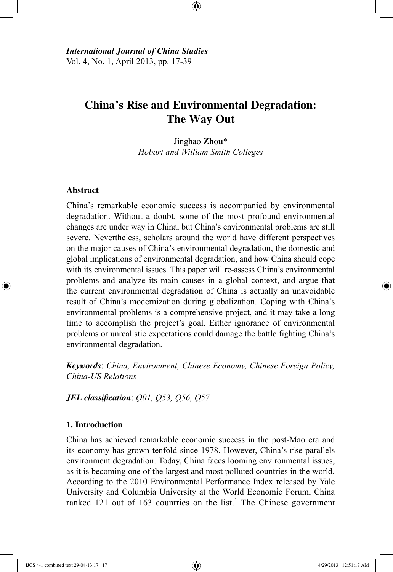# **China's Rise and Environmental Degradation: The Way Out**

⊕

Jinghao **Zhou**\* *Hobart and William Smith Colleges*

# **Abstract**

⊕

China's remarkable economic success is accompanied by environmental degradation. Without a doubt, some of the most profound environmental changes are under way in China, but China's environmental problems are still severe. Nevertheless, scholars around the world have different perspectives on the major causes of China's environmental degradation, the domestic and global implications of environmental degradation, and how China should cope with its environmental issues. This paper will re-assess China's environmental problems and analyze its main causes in a global context, and argue that the current environmental degradation of China is actually an unavoidable result of China's modernization during globalization. Coping with China's environmental problems is a comprehensive project, and it may take a long time to accomplish the project's goal. Either ignorance of environmental problems or unrealistic expectations could damage the battle fighting China's environmental degradation.

*Keywords*: *China, Environment, Chinese Economy, Chinese Foreign Policy, China-US Relations*

*JEL classification*: *Q01, Q53, Q56, Q57*

# **1. Introduction**

China has achieved remarkable economic success in the post-Mao era and its economy has grown tenfold since 1978. However, China's rise parallels environment degradation. Today, China faces looming environmental issues, as it is becoming one of the largest and most polluted countries in the world. According to the 2010 Environmental Performance Index released by Yale University and Columbia University at the World Economic Forum, China ranked 121 out of 163 countries on the list.<sup>1</sup> The Chinese government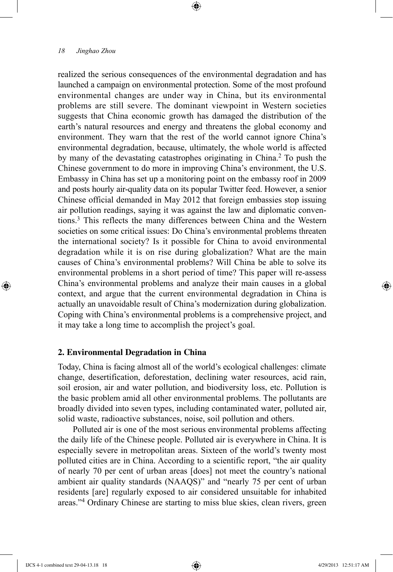realized the serious consequences of the environmental degradation and has launched a campaign on environmental protection. Some of the most profound environmental changes are under way in China, but its environmental problems are still severe. The dominant viewpoint in Western societies suggests that China economic growth has damaged the distribution of the earth's natural resources and energy and threatens the global economy and environment. They warn that the rest of the world cannot ignore China's environmental degradation, because, ultimately, the whole world is affected by many of the devastating catastrophes originating in China.2 To push the Chinese government to do more in improving China's environment, the U.S. Embassy in China has set up a monitoring point on the embassy roof in 2009 and posts hourly air-quality data on its popular Twitter feed. However, a senior Chinese official demanded in May 2012 that foreign embassies stop issuing air pollution readings, saying it was against the law and diplomatic conventions.3 This reflects the many differences between China and the Western societies on some critical issues: Do China's environmental problems threaten the international society? Is it possible for China to avoid environmental degradation while it is on rise during globalization? What are the main causes of China's environmental problems? Will China be able to solve its environmental problems in a short period of time? This paper will re-assess China's environmental problems and analyze their main causes in a global context, and argue that the current environmental degradation in China is actually an unavoidable result of China's modernization during globalization. Coping with China's environmental problems is a comprehensive project, and it may take a long time to accomplish the project's goal.

⊕

#### **2. Environmental Degradation in China**

Today, China is facing almost all of the world's ecological challenges: climate change, desertification, deforestation, declining water resources, acid rain, soil erosion, air and water pollution, and biodiversity loss, etc. Pollution is the basic problem amid all other environmental problems. The pollutants are broadly divided into seven types, including contaminated water, polluted air, solid waste, radioactive substances, noise, soil pollution and others.

Polluted air is one of the most serious environmental problems affecting the daily life of the Chinese people. Polluted air is everywhere in China. It is especially severe in metropolitan areas. Sixteen of the world's twenty most polluted cities are in China. According to a scientific report, "the air quality of nearly 70 per cent of urban areas [does] not meet the country's national ambient air quality standards (NAAQS)" and "nearly 75 per cent of urban residents [are] regularly exposed to air considered unsuitable for inhabited areas."4 Ordinary Chinese are starting to miss blue skies, clean rivers, green

IJCS 4-1 combined text 29-04-13.18 18 4/29/2013 12:51:17 AM

⊕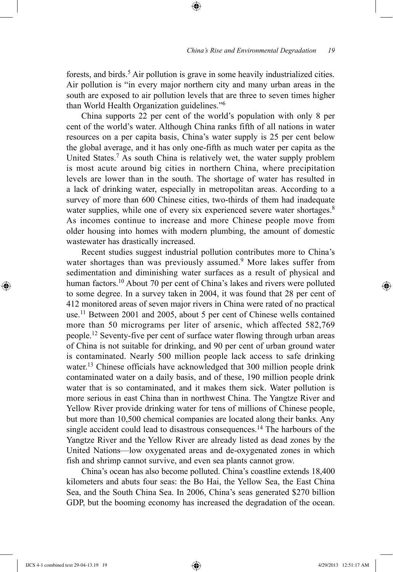forests, and birds.<sup>5</sup> Air pollution is grave in some heavily industrialized cities. Air pollution is "in every major northern city and many urban areas in the south are exposed to air pollution levels that are three to seven times higher than World Health Organization guidelines."6

⊕

China supports 22 per cent of the world's population with only 8 per cent of the world's water. Although China ranks fifth of all nations in water resources on a per capita basis, China's water supply is 25 per cent below the global average, and it has only one-fifth as much water per capita as the United States.7 As south China is relatively wet, the water supply problem is most acute around big cities in northern China, where precipitation levels are lower than in the south. The shortage of water has resulted in a lack of drinking water, especially in metropolitan areas. According to a survey of more than 600 Chinese cities, two-thirds of them had inadequate water supplies, while one of every six experienced severe water shortages.<sup>8</sup> As incomes continue to increase and more Chinese people move from older housing into homes with modern plumbing, the amount of domestic wastewater has drastically increased.

Recent studies suggest industrial pollution contributes more to China's water shortages than was previously assumed.<sup>9</sup> More lakes suffer from sedimentation and diminishing water surfaces as a result of physical and human factors.<sup>10</sup> About 70 per cent of China's lakes and rivers were polluted to some degree. In a survey taken in 2004, it was found that 28 per cent of 412 monitored areas of seven major rivers in China were rated of no practical use.11 Between 2001 and 2005, about 5 per cent of Chinese wells contained more than 50 micrograms per liter of arsenic, which affected 582,769 people.12 Seventy-five per cent of surface water flowing through urban areas of China is not suitable for drinking, and 90 per cent of urban ground water is contaminated. Nearly 500 million people lack access to safe drinking water.<sup>13</sup> Chinese officials have acknowledged that 300 million people drink contaminated water on a daily basis, and of these, 190 million people drink water that is so contaminated, and it makes them sick. Water pollution is more serious in east China than in northwest China. The Yangtze River and Yellow River provide drinking water for tens of millions of Chinese people, but more than 10,500 chemical companies are located along their banks. Any single accident could lead to disastrous consequences.<sup>14</sup> The harbours of the Yangtze River and the Yellow River are already listed as dead zones by the United Nations—low oxygenated areas and de-oxygenated zones in which fish and shrimp cannot survive, and even sea plants cannot grow.

China's ocean has also become polluted. China's coastline extends 18,400 kilometers and abuts four seas: the Bo Hai, the Yellow Sea, the East China Sea, and the South China Sea. In 2006, China's seas generated \$270 billion GDP, but the booming economy has increased the degradation of the ocean.

⊕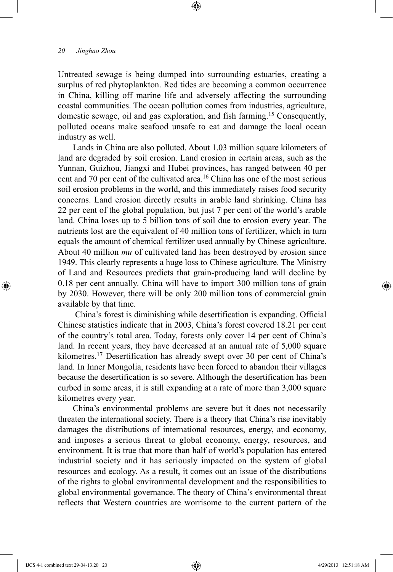Untreated sewage is being dumped into surrounding estuaries, creating a surplus of red phytoplankton. Red tides are becoming a common occurrence in China, killing off marine life and adversely affecting the surrounding coastal communities. The ocean pollution comes from industries, agriculture, domestic sewage, oil and gas exploration, and fish farming.15 Consequently, polluted oceans make seafood unsafe to eat and damage the local ocean industry as well.

⊕

Lands in China are also polluted. About 1.03 million square kilometers of land are degraded by soil erosion. Land erosion in certain areas, such as the Yunnan, Guizhou, Jiangxi and Hubei provinces, has ranged between 40 per cent and 70 per cent of the cultivated area.16 China has one of the most serious soil erosion problems in the world, and this immediately raises food security concerns. Land erosion directly results in arable land shrinking. China has 22 per cent of the global population, but just 7 per cent of the world's arable land. China loses up to 5 billion tons of soil due to erosion every year. The nutrients lost are the equivalent of 40 million tons of fertilizer, which in turn equals the amount of chemical fertilizer used annually by Chinese agriculture. About 40 million *mu* of cultivated land has been destroyed by erosion since 1949. This clearly represents a huge loss to Chinese agriculture. The Ministry of Land and Resources predicts that grain-producing land will decline by 0.18 per cent annually. China will have to import 300 million tons of grain by 2030. However, there will be only 200 million tons of commercial grain available by that time.

 China's forest is diminishing while desertification is expanding. Official Chinese statistics indicate that in 2003, China's forest covered 18.21 per cent of the country's total area. Today, forests only cover 14 per cent of China's land. In recent years, they have decreased at an annual rate of 5,000 square kilometres.17 Desertification has already swept over 30 per cent of China's land. In Inner Mongolia, residents have been forced to abandon their villages because the desertification is so severe. Although the desertification has been curbed in some areas, it is still expanding at a rate of more than 3,000 square kilometres every year.

China's environmental problems are severe but it does not necessarily threaten the international society. There is a theory that China's rise inevitably damages the distributions of international resources, energy, and economy, and imposes a serious threat to global economy, energy, resources, and environment. It is true that more than half of world's population has entered industrial society and it has seriously impacted on the system of global resources and ecology. As a result, it comes out an issue of the distributions of the rights to global environmental development and the responsibilities to global environmental governance. The theory of China's environmental threat reflects that Western countries are worrisome to the current pattern of the

⊕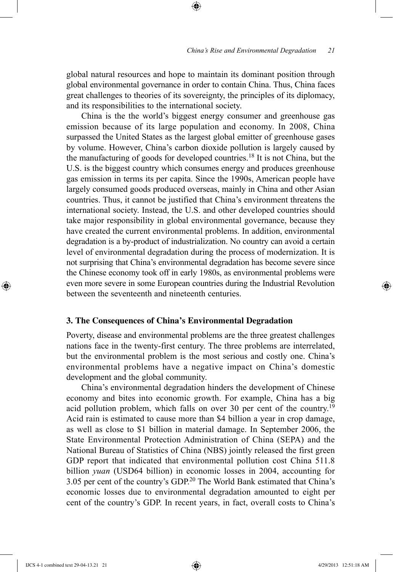global natural resources and hope to maintain its dominant position through global environmental governance in order to contain China. Thus, China faces great challenges to theories of its sovereignty, the principles of its diplomacy, and its responsibilities to the international society.

⊕

China is the the world's biggest energy consumer and greenhouse gas emission because of its large population and economy. In 2008, China surpassed the United States as the largest global emitter of greenhouse gases by volume. However, China's carbon dioxide pollution is largely caused by the manufacturing of goods for developed countries.18 It is not China, but the U.S. is the biggest country which consumes energy and produces greenhouse gas emission in terms its per capita. Since the 1990s, American people have largely consumed goods produced overseas, mainly in China and other Asian countries. Thus, it cannot be justified that China's environment threatens the international society. Instead, the U.S. and other developed countries should take major responsibility in global environmental governance, because they have created the current environmental problems. In addition, environmental degradation is a by-product of industrialization. No country can avoid a certain level of environmental degradation during the process of modernization. It is not surprising that China's environmental degradation has become severe since the Chinese economy took off in early 1980s, as environmental problems were even more severe in some European countries during the Industrial Revolution between the seventeenth and nineteenth centuries.

### **3. The Consequences of China's Environmental Degradation**

Poverty, disease and environmental problems are the three greatest challenges nations face in the twenty-first century. The three problems are interrelated, but the environmental problem is the most serious and costly one. China's environmental problems have a negative impact on China's domestic development and the global community.

China's environmental degradation hinders the development of Chinese economy and bites into economic growth. For example, China has a big acid pollution problem, which falls on over 30 per cent of the country.19 Acid rain is estimated to cause more than \$4 billion a year in crop damage, as well as close to \$1 billion in material damage. In September 2006, the State Environmental Protection Administration of China (SEPA) and the National Bureau of Statistics of China (NBS) jointly released the first green GDP report that indicated that environmental pollution cost China 511.8 billion *yuan* (USD64 billion) in economic losses in 2004, accounting for 3.05 per cent of the country's GDP.20 The World Bank estimated that China's economic losses due to environmental degradation amounted to eight per cent of the country's GDP. In recent years, in fact, overall costs to China's

⊕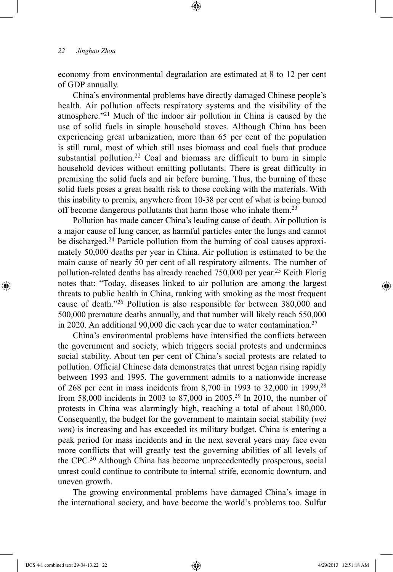economy from environmental degradation are estimated at 8 to 12 per cent of GDP annually.

⊕

China's environmental problems have directly damaged Chinese people's health. Air pollution affects respiratory systems and the visibility of the atmosphere."21 Much of the indoor air pollution in China is caused by the use of solid fuels in simple household stoves. Although China has been experiencing great urbanization, more than 65 per cent of the population is still rural, most of which still uses biomass and coal fuels that produce substantial pollution.<sup>22</sup> Coal and biomass are difficult to burn in simple household devices without emitting pollutants. There is great difficulty in premixing the solid fuels and air before burning. Thus, the burning of these solid fuels poses a great health risk to those cooking with the materials. With this inability to premix, anywhere from 10-38 per cent of what is being burned off become dangerous pollutants that harm those who inhale them.<sup>23</sup>

Pollution has made cancer China's leading cause of death. Air pollution is a major cause of lung cancer, as harmful particles enter the lungs and cannot be discharged.<sup>24</sup> Particle pollution from the burning of coal causes approximately 50,000 deaths per year in China. Air pollution is estimated to be the main cause of nearly 50 per cent of all respiratory ailments. The number of pollution-related deaths has already reached  $750,000$  per year.<sup>25</sup> Keith Florig notes that: "Today, diseases linked to air pollution are among the largest threats to public health in China, ranking with smoking as the most frequent cause of death."26 Pollution is also responsible for between 380,000 and 500,000 premature deaths annually, and that number will likely reach 550,000 in 2020. An additional 90,000 die each year due to water contamination.<sup>27</sup>

China's environmental problems have intensified the conflicts between the government and society, which triggers social protests and undermines social stability. About ten per cent of China's social protests are related to pollution. Official Chinese data demonstrates that unrest began rising rapidly between 1993 and 1995. The government admits to a nationwide increase of 268 per cent in mass incidents from 8,700 in 1993 to 32,000 in 1999,28 from 58,000 incidents in 2003 to 87,000 in 2005.29 In 2010, the number of protests in China was alarmingly high, reaching a total of about 180,000. Consequently, the budget for the government to maintain social stability (*wei wen*) is increasing and has exceeded its military budget. China is entering a peak period for mass incidents and in the next several years may face even more conflicts that will greatly test the governing abilities of all levels of the CPC.30 Although China has become unprecedentedly prosperous, social unrest could continue to contribute to internal strife, economic downturn, and uneven growth.

The growing environmental problems have damaged China's image in the international society, and have become the world's problems too. Sulfur

⊕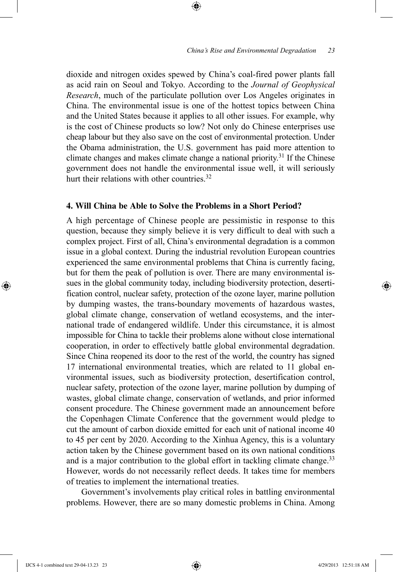dioxide and nitrogen oxides spewed by China's coal-fired power plants fall as acid rain on Seoul and Tokyo. According to the *Journal of Geophysical Research*, much of the particulate pollution over Los Angeles originates in China. The environmental issue is one of the hottest topics between China and the United States because it applies to all other issues. For example, why is the cost of Chinese products so low? Not only do Chinese enterprises use cheap labour but they also save on the cost of environmental protection. Under the Obama administration, the U.S. government has paid more attention to climate changes and makes climate change a national priority.31 If the Chinese government does not handle the environmental issue well, it will seriously hurt their relations with other countries.<sup>32</sup>

⊕

# **4. Will China be Able to Solve the Problems in a Short Period?**

A high percentage of Chinese people are pessimistic in response to this question, because they simply believe it is very difficult to deal with such a complex project. First of all, China's environmental degradation is a common issue in a global context. During the industrial revolution European countries experienced the same environmental problems that China is currently facing, but for them the peak of pollution is over. There are many environmental issues in the global community today, including biodiversity protection, desertification control, nuclear safety, protection of the ozone layer, marine pollution by dumping wastes, the trans-boundary movements of hazardous wastes, global climate change, conservation of wetland ecosystems, and the international trade of endangered wildlife. Under this circumstance, it is almost impossible for China to tackle their problems alone without close international cooperation, in order to effectively battle global environmental degradation. Since China reopened its door to the rest of the world, the country has signed 17 international environmental treaties, which are related to 11 global environmental issues, such as biodiversity protection, desertification control, nuclear safety, protection of the ozone layer, marine pollution by dumping of wastes, global climate change, conservation of wetlands, and prior informed consent procedure. The Chinese government made an announcement before the Copenhagen Climate Conference that the government would pledge to cut the amount of carbon dioxide emitted for each unit of national income 40 to 45 per cent by 2020. According to the Xinhua Agency, this is a voluntary action taken by the Chinese government based on its own national conditions and is a major contribution to the global effort in tackling climate change.<sup>33</sup> However, words do not necessarily reflect deeds. It takes time for members of treaties to implement the international treaties.

Government's involvements play critical roles in battling environmental problems. However, there are so many domestic problems in China. Among

IJCS 4-1 combined text 29-04-13.23 23 4/29/2013 12:51:18 AM

⊕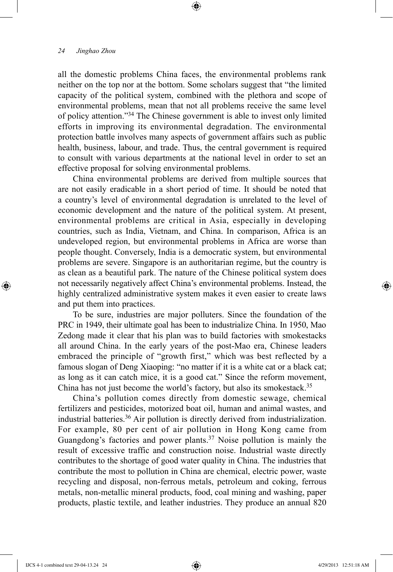all the domestic problems China faces, the environmental problems rank neither on the top nor at the bottom. Some scholars suggest that "the limited capacity of the political system, combined with the plethora and scope of environmental problems, mean that not all problems receive the same level of policy attention."34 The Chinese government is able to invest only limited efforts in improving its environmental degradation. The environmental protection battle involves many aspects of government affairs such as public health, business, labour, and trade. Thus, the central government is required to consult with various departments at the national level in order to set an effective proposal for solving environmental problems.

⊕

China environmental problems are derived from multiple sources that are not easily eradicable in a short period of time. It should be noted that a country's level of environmental degradation is unrelated to the level of economic development and the nature of the political system. At present, environmental problems are critical in Asia, especially in developing countries, such as India, Vietnam, and China. In comparison, Africa is an undeveloped region, but environmental problems in Africa are worse than people thought. Conversely, India is a democratic system, but environmental problems are severe. Singapore is an authoritarian regime, but the country is as clean as a beautiful park. The nature of the Chinese political system does not necessarily negatively affect China's environmental problems. Instead, the highly centralized administrative system makes it even easier to create laws and put them into practices.

To be sure, industries are major polluters. Since the foundation of the PRC in 1949, their ultimate goal has been to industrialize China. In 1950, Mao Zedong made it clear that his plan was to build factories with smokestacks all around China. In the early years of the post-Mao era, Chinese leaders embraced the principle of "growth first," which was best reflected by a famous slogan of Deng Xiaoping: "no matter if it is a white cat or a black cat; as long as it can catch mice, it is a good cat." Since the reform movement, China has not just become the world's factory, but also its smokestack.<sup>35</sup>

China's pollution comes directly from domestic sewage, chemical fertilizers and pesticides, motorized boat oil, human and animal wastes, and industrial batteries.36 Air pollution is directly derived from industrialization. For example, 80 per cent of air pollution in Hong Kong came from Guangdong's factories and power plants.<sup>37</sup> Noise pollution is mainly the result of excessive traffic and construction noise. Industrial waste directly contributes to the shortage of good water quality in China. The industries that contribute the most to pollution in China are chemical, electric power, waste recycling and disposal, non-ferrous metals, petroleum and coking, ferrous metals, non-metallic mineral products, food, coal mining and washing, paper products, plastic textile, and leather industries. They produce an annual 820

⊕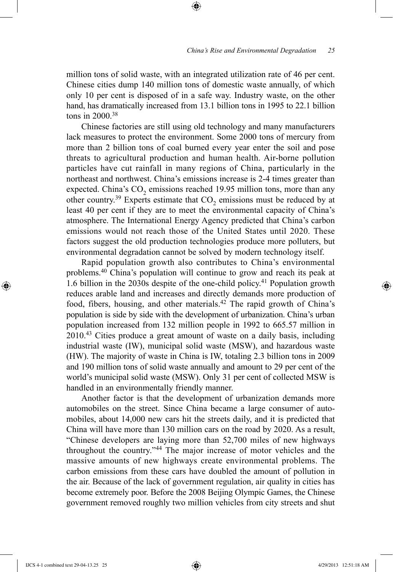million tons of solid waste, with an integrated utilization rate of 46 per cent. Chinese cities dump 140 million tons of domestic waste annually, of which only 10 per cent is disposed of in a safe way. Industry waste, on the other hand, has dramatically increased from 13.1 billion tons in 1995 to 22.1 billion tons in  $2000^{38}$ 

⊕

Chinese factories are still using old technology and many manufacturers lack measures to protect the environment. Some 2000 tons of mercury from more than 2 billion tons of coal burned every year enter the soil and pose threats to agricultural production and human health. Air-borne pollution particles have cut rainfall in many regions of China, particularly in the northeast and northwest. China's emissions increase is 2-4 times greater than expected. China's  $CO<sub>2</sub>$  emissions reached 19.95 million tons, more than any other country.<sup>39</sup> Experts estimate that  $CO$ <sub>2</sub> emissions must be reduced by at least 40 per cent if they are to meet the environmental capacity of China's atmosphere. The International Energy Agency predicted that China's carbon emissions would not reach those of the United States until 2020. These factors suggest the old production technologies produce more polluters, but environmental degradation cannot be solved by modern technology itself.

Rapid population growth also contributes to China's environmental problems.40 China's population will continue to grow and reach its peak at 1.6 billion in the 2030s despite of the one-child policy.41 Population growth reduces arable land and increases and directly demands more production of food, fibers, housing, and other materials.<sup>42</sup> The rapid growth of China's population is side by side with the development of urbanization. China's urban population increased from 132 million people in 1992 to 665.57 million in 2010.43 Cities produce a great amount of waste on a daily basis, including industrial waste (IW), municipal solid waste (MSW), and hazardous waste (HW). The majority of waste in China is IW, totaling 2.3 billion tons in 2009 and 190 million tons of solid waste annually and amount to 29 per cent of the world's municipal solid waste (MSW). Only 31 per cent of collected MSW is handled in an environmentally friendly manner.

Another factor is that the development of urbanization demands more automobiles on the street. Since China became a large consumer of automobiles, about 14,000 new cars hit the streets daily, and it is predicted that China will have more than 130 million cars on the road by 2020. As a result, "Chinese developers are laying more than 52,700 miles of new highways throughout the country."44 The major increase of motor vehicles and the massive amounts of new highways create environmental problems. The carbon emissions from these cars have doubled the amount of pollution in the air. Because of the lack of government regulation, air quality in cities has become extremely poor. Before the 2008 Beijing Olympic Games, the Chinese government removed roughly two million vehicles from city streets and shut

IJCS 4-1 combined text 29-04-13.25 25 4/29/2013 12:51:18 AM

⊕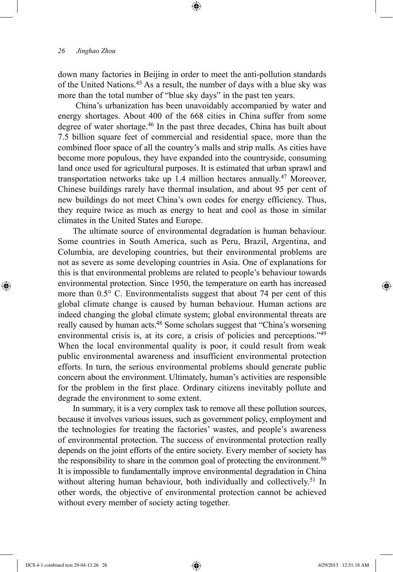down many factories in Beijing in order to meet the anti-pollution standards of the United Nations.45 As a result, the number of days with a blue sky was more than the total number of "blue sky days" in the past ten years.

⊕

 China's urbanization has been unavoidably accompanied by water and energy shortages. About 400 of the 668 cities in China suffer from some degree of water shortage.46 In the past three decades, China has built about 7.5 billion square feet of commercial and residential space, more than the combined floor space of all the country's malls and strip malls. As cities have become more populous, they have expanded into the countryside, consuming land once used for agricultural purposes. It is estimated that urban sprawl and transportation networks take up 1.4 million hectares annually.<sup>47</sup> Moreover, Chinese buildings rarely have thermal insulation, and about 95 per cent of new buildings do not meet China's own codes for energy efficiency. Thus, they require twice as much as energy to heat and cool as those in similar climates in the United States and Europe.

The ultimate source of environmental degradation is human behaviour. Some countries in South America, such as Peru, Brazil, Argentina, and Columbia, are developing countries, but their environmental problems are not as severe as some developing countries in Asia. One of explanations for this is that environmental problems are related to people's behaviour towards environmental protection. Since 1950, the temperature on earth has increased more than 0.5° C. Environmentalists suggest that about 74 per cent of this global climate change is caused by human behaviour. Human actions are indeed changing the global climate system; global environmental threats are really caused by human acts.<sup>48</sup> Some scholars suggest that "China's worsening environmental crisis is, at its core, a crisis of policies and perceptions."49 When the local environmental quality is poor, it could result from weak public environmental awareness and insufficient environmental protection efforts. In turn, the serious environmental problems should generate public concern about the environment. Ultimately, human's activities are responsible for the problem in the first place. Ordinary citizens inevitably pollute and degrade the environment to some extent.

In summary, it is a very complex task to remove all these pollution sources, because it involves various issues, such as government policy, employment and the technologies for treating the factories' wastes, and people's awareness of environmental protection. The success of environmental protection really depends on the joint efforts of the entire society. Every member of society has the responsibility to share in the common goal of protecting the environment.<sup>50</sup> It is impossible to fundamentally improve environmental degradation in China without altering human behaviour, both individually and collectively.<sup>51</sup> In other words, the objective of environmental protection cannot be achieved without every member of society acting together.

⊕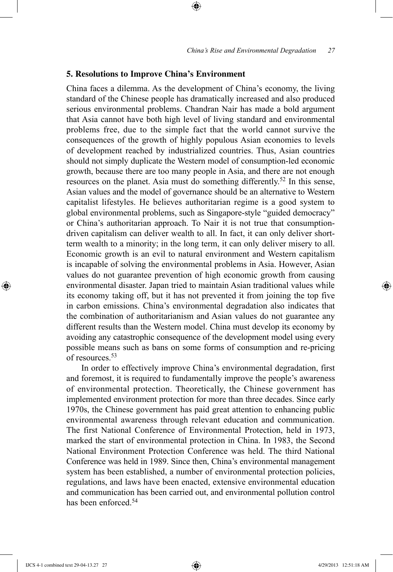## **5. Resolutions to Improve China's Environment**

China faces a dilemma. As the development of China's economy, the living standard of the Chinese people has dramatically increased and also produced serious environmental problems. Chandran Nair has made a bold argument that Asia cannot have both high level of living standard and environmental problems free, due to the simple fact that the world cannot survive the consequences of the growth of highly populous Asian economies to levels of development reached by industrialized countries. Thus, Asian countries should not simply duplicate the Western model of consumption-led economic growth, because there are too many people in Asia, and there are not enough resources on the planet. Asia must do something differently.52 In this sense, Asian values and the model of governance should be an alternative to Western capitalist lifestyles. He believes authoritarian regime is a good system to global environmental problems, such as Singapore-style "guided democracy" or China's authoritarian approach. To Nair it is not true that consumptiondriven capitalism can deliver wealth to all. In fact, it can only deliver shortterm wealth to a minority; in the long term, it can only deliver misery to all. Economic growth is an evil to natural environment and Western capitalism is incapable of solving the environmental problems in Asia. However, Asian values do not guarantee prevention of high economic growth from causing environmental disaster. Japan tried to maintain Asian traditional values while its economy taking off, but it has not prevented it from joining the top five in carbon emissions. China's environmental degradation also indicates that the combination of authoritarianism and Asian values do not guarantee any different results than the Western model. China must develop its economy by avoiding any catastrophic consequence of the development model using every possible means such as bans on some forms of consumption and re-pricing of resources <sup>53</sup>

⊕

In order to effectively improve China's environmental degradation, first and foremost, it is required to fundamentally improve the people's awareness of environmental protection. Theoretically, the Chinese government has implemented environment protection for more than three decades. Since early 1970s, the Chinese government has paid great attention to enhancing public environmental awareness through relevant education and communication. The first National Conference of Environmental Protection, held in 1973, marked the start of environmental protection in China. In 1983, the Second National Environment Protection Conference was held. The third National Conference was held in 1989. Since then, China's environmental management system has been established, a number of environmental protection policies, regulations, and laws have been enacted, extensive environmental education and communication has been carried out, and environmental pollution control has been enforced <sup>54</sup>

IJCS 4-1 combined text 29-04-13.27 27 4/29/2013 12:51:18 AM

⊕

♠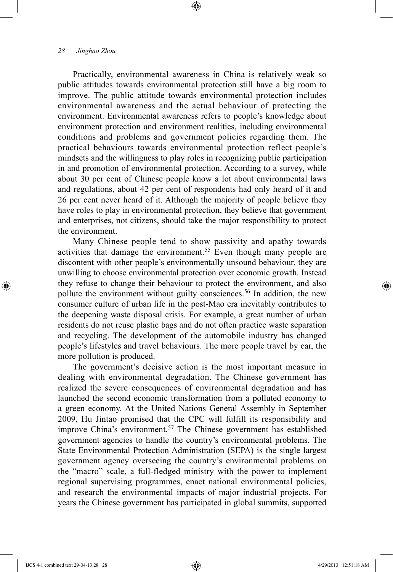Practically, environmental awareness in China is relatively weak so public attitudes towards environmental protection still have a big room to improve. The public attitude towards environmental protection includes environmental awareness and the actual behaviour of protecting the environment. Environmental awareness refers to people's knowledge about environment protection and environment realities, including environmental conditions and problems and government policies regarding them. The practical behaviours towards environmental protection reflect people's mindsets and the willingness to play roles in recognizing public participation in and promotion of environmental protection. According to a survey, while about 30 per cent of Chinese people know a lot about environmental laws and regulations, about 42 per cent of respondents had only heard of it and 26 per cent never heard of it. Although the majority of people believe they have roles to play in environmental protection, they believe that government and enterprises, not citizens, should take the major responsibility to protect the environment.

⊕

Many Chinese people tend to show passivity and apathy towards activities that damage the environment.<sup>55</sup> Even though many people are discontent with other people's environmentally unsound behaviour, they are unwilling to choose environmental protection over economic growth. Instead they refuse to change their behaviour to protect the environment, and also pollute the environment without guilty consciences.<sup>56</sup> In addition, the new consumer culture of urban life in the post-Mao era inevitably contributes to the deepening waste disposal crisis. For example, a great number of urban residents do not reuse plastic bags and do not often practice waste separation and recycling. The development of the automobile industry has changed people's lifestyles and travel behaviours. The more people travel by car, the more pollution is produced.

The government's decisive action is the most important measure in dealing with environmental degradation. The Chinese government has realized the severe consequences of environmental degradation and has launched the second economic transformation from a polluted economy to a green economy. At the United Nations General Assembly in September 2009, Hu Jintao promised that the CPC will fulfill its responsibility and improve China's environment.<sup>57</sup> The Chinese government has established government agencies to handle the country's environmental problems. The State Environmental Protection Administration (SEPA) is the single largest government agency overseeing the country's environmental problems on the "macro" scale, a full-fledged ministry with the power to implement regional supervising programmes, enact national environmental policies, and research the environmental impacts of major industrial projects. For years the Chinese government has participated in global summits, supported

⊕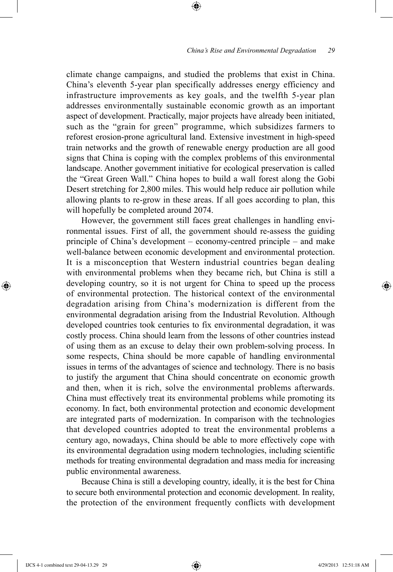climate change campaigns, and studied the problems that exist in China. China's eleventh 5-year plan specifically addresses energy efficiency and infrastructure improvements as key goals, and the twelfth 5-year plan addresses environmentally sustainable economic growth as an important aspect of development. Practically, major projects have already been initiated, such as the "grain for green" programme, which subsidizes farmers to reforest erosion-prone agricultural land. Extensive investment in high-speed train networks and the growth of renewable energy production are all good signs that China is coping with the complex problems of this environmental landscape. Another government initiative for ecological preservation is called the "Great Green Wall." China hopes to build a wall forest along the Gobi Desert stretching for 2,800 miles. This would help reduce air pollution while allowing plants to re-grow in these areas. If all goes according to plan, this will hopefully be completed around 2074.

⊕

However, the government still faces great challenges in handling environmental issues. First of all, the government should re-assess the guiding principle of China's development – economy-centred principle – and make well-balance between economic development and environmental protection. It is a misconception that Western industrial countries began dealing with environmental problems when they became rich, but China is still a developing country, so it is not urgent for China to speed up the process of environmental protection. The historical context of the environmental degradation arising from China's modernization is different from the environmental degradation arising from the Industrial Revolution. Although developed countries took centuries to fix environmental degradation, it was costly process. China should learn from the lessons of other countries instead of using them as an excuse to delay their own problem-solving process. In some respects, China should be more capable of handling environmental issues in terms of the advantages of science and technology. There is no basis to justify the argument that China should concentrate on economic growth and then, when it is rich, solve the environmental problems afterwards. China must effectively treat its environmental problems while promoting its economy. In fact, both environmental protection and economic development are integrated parts of modernization. In comparison with the technologies that developed countries adopted to treat the environmental problems a century ago, nowadays, China should be able to more effectively cope with its environmental degradation using modern technologies, including scientific methods for treating environmental degradation and mass media for increasing public environmental awareness.

Because China is still a developing country, ideally, it is the best for China to secure both environmental protection and economic development. In reality, the protection of the environment frequently conflicts with development

IJCS 4-1 combined text 29-04-13.29 29 4/29/2013 12:51:18 AM

⊕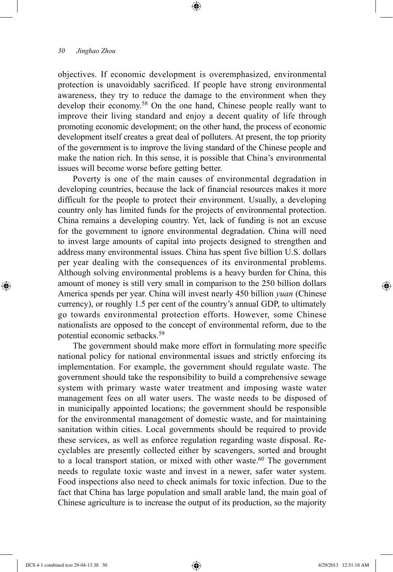objectives. If economic development is overemphasized, environmental protection is unavoidably sacrificed. If people have strong environmental awareness, they try to reduce the damage to the environment when they develop their economy.<sup>58</sup> On the one hand, Chinese people really want to improve their living standard and enjoy a decent quality of life through promoting economic development; on the other hand, the process of economic development itself creates a great deal of polluters. At present, the top priority of the government is to improve the living standard of the Chinese people and make the nation rich. In this sense, it is possible that China's environmental issues will become worse before getting better.

⊕

Poverty is one of the main causes of environmental degradation in developing countries, because the lack of financial resources makes it more difficult for the people to protect their environment. Usually, a developing country only has limited funds for the projects of environmental protection. China remains a developing country. Yet, lack of funding is not an excuse for the government to ignore environmental degradation. China will need to invest large amounts of capital into projects designed to strengthen and address many environmental issues. China has spent five billion U.S. dollars per year dealing with the consequences of its environmental problems. Although solving environmental problems is a heavy burden for China, this amount of money is still very small in comparison to the 250 billion dollars America spends per year. China will invest nearly 450 billion *yuan* (Chinese currency), or roughly 1.5 per cent of the country's annual GDP, to ultimately go towards environmental protection efforts. However, some Chinese nationalists are opposed to the concept of environmental reform, due to the potential economic setbacks.59

The government should make more effort in formulating more specific national policy for national environmental issues and strictly enforcing its implementation. For example, the government should regulate waste. The government should take the responsibility to build a comprehensive sewage system with primary waste water treatment and imposing waste water management fees on all water users. The waste needs to be disposed of in municipally appointed locations; the government should be responsible for the environmental management of domestic waste, and for maintaining sanitation within cities. Local governments should be required to provide these services, as well as enforce regulation regarding waste disposal. Recyclables are presently collected either by scavengers, sorted and brought to a local transport station, or mixed with other waste. $60$  The government needs to regulate toxic waste and invest in a newer, safer water system. Food inspections also need to check animals for toxic infection. Due to the fact that China has large population and small arable land, the main goal of Chinese agriculture is to increase the output of its production, so the majority

⊕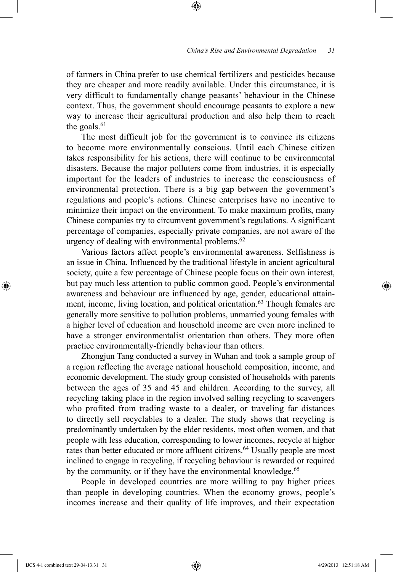of farmers in China prefer to use chemical fertilizers and pesticides because they are cheaper and more readily available. Under this circumstance, it is very difficult to fundamentally change peasants' behaviour in the Chinese context. Thus, the government should encourage peasants to explore a new way to increase their agricultural production and also help them to reach the goals. $61$ 

⊕

The most difficult job for the government is to convince its citizens to become more environmentally conscious. Until each Chinese citizen takes responsibility for his actions, there will continue to be environmental disasters. Because the major polluters come from industries, it is especially important for the leaders of industries to increase the consciousness of environmental protection. There is a big gap between the government's regulations and people's actions. Chinese enterprises have no incentive to minimize their impact on the environment. To make maximum profits, many Chinese companies try to circumvent government's regulations. A significant percentage of companies, especially private companies, are not aware of the urgency of dealing with environmental problems.<sup>62</sup>

Various factors affect people's environmental awareness. Selfishness is an issue in China. Influenced by the traditional lifestyle in ancient agricultural society, quite a few percentage of Chinese people focus on their own interest, but pay much less attention to public common good. People's environmental awareness and behaviour are influenced by age, gender, educational attainment, income, living location, and political orientation.<sup>63</sup> Though females are generally more sensitive to pollution problems, unmarried young females with a higher level of education and household income are even more inclined to have a stronger environmentalist orientation than others. They more often practice environmentally-friendly behaviour than others.

Zhongjun Tang conducted a survey in Wuhan and took a sample group of a region reflecting the average national household composition, income, and economic development. The study group consisted of households with parents between the ages of 35 and 45 and children. According to the survey, all recycling taking place in the region involved selling recycling to scavengers who profited from trading waste to a dealer, or traveling far distances to directly sell recyclables to a dealer. The study shows that recycling is predominantly undertaken by the elder residents, most often women, and that people with less education, corresponding to lower incomes, recycle at higher rates than better educated or more affluent citizens.<sup>64</sup> Usually people are most inclined to engage in recycling, if recycling behaviour is rewarded or required by the community, or if they have the environmental knowledge.<sup>65</sup>

People in developed countries are more willing to pay higher prices than people in developing countries. When the economy grows, people's incomes increase and their quality of life improves, and their expectation

⊕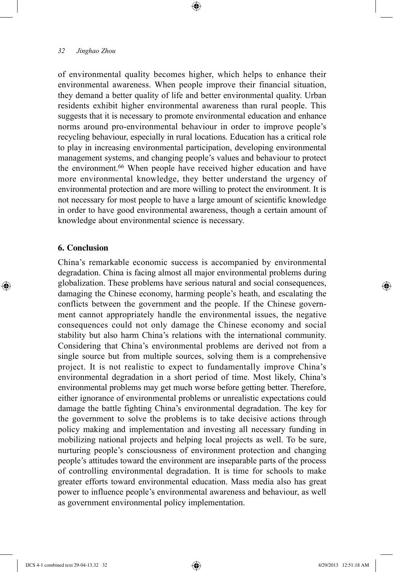of environmental quality becomes higher, which helps to enhance their environmental awareness. When people improve their financial situation, they demand a better quality of life and better environmental quality. Urban residents exhibit higher environmental awareness than rural people. This suggests that it is necessary to promote environmental education and enhance norms around pro-environmental behaviour in order to improve people's recycling behaviour, especially in rural locations. Education has a critical role to play in increasing environmental participation, developing environmental management systems, and changing people's values and behaviour to protect the environment.66 When people have received higher education and have more environmental knowledge, they better understand the urgency of environmental protection and are more willing to protect the environment. It is not necessary for most people to have a large amount of scientific knowledge in order to have good environmental awareness, though a certain amount of knowledge about environmental science is necessary.

⊕

#### **6. Conclusion**

⊕

China's remarkable economic success is accompanied by environmental degradation. China is facing almost all major environmental problems during globalization. These problems have serious natural and social consequences, damaging the Chinese economy, harming people's heath, and escalating the conflicts between the government and the people. If the Chinese government cannot appropriately handle the environmental issues, the negative consequences could not only damage the Chinese economy and social stability but also harm China's relations with the international community. Considering that China's environmental problems are derived not from a single source but from multiple sources, solving them is a comprehensive project. It is not realistic to expect to fundamentally improve China's environmental degradation in a short period of time. Most likely, China's environmental problems may get much worse before getting better. Therefore, either ignorance of environmental problems or unrealistic expectations could damage the battle fighting China's environmental degradation. The key for the government to solve the problems is to take decisive actions through policy making and implementation and investing all necessary funding in mobilizing national projects and helping local projects as well. To be sure, nurturing people's consciousness of environment protection and changing people's attitudes toward the environment are inseparable parts of the process of controlling environmental degradation. It is time for schools to make greater efforts toward environmental education. Mass media also has great power to influence people's environmental awareness and behaviour, as well as government environmental policy implementation.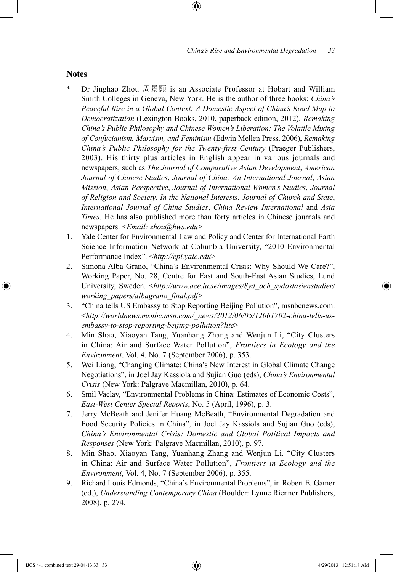#### **Notes**

⊕

Dr Jinghao Zhou 周景顥 is an Associate Professor at Hobart and William Smith Colleges in Geneva, New York. He is the author of three books: *China's Peaceful Rise in a Global Context: A Domestic Aspect of China's Road Map to Democratization* (Lexington Books, 2010, paperback edition, 2012), *Remaking China's Public Philosophy and Chinese Women's Liberation: The Volatile Mixing of Confucianism, Marxism, and Feminism* (Edwin Mellen Press, 2006), *Remaking China's Public Philosophy for the Twenty-first Century* (Praeger Publishers, 2003). His thirty plus articles in English appear in various journals and newspapers, such as *The Journal of Comparative Asian Development*, *American Journal of Chinese Studies*, *Journal of China: An International Journal*, *Asian Mission*, *Asian Perspective*, *Journal of International Women's Studies*, *Journal of Religion and Society*, *In the National Interests*, *Journal of Church and State*, *International Journal of China Studies*, *China Review International* and *Asia Times*. He has also published more than forty articles in Chinese journals and newspapers. <*Email: zhou@hws.edu*>

⊕

- 1. Yale Center for Environmental Law and Policy and Center for International Earth Science Information Network at Columbia University, "2010 Environmental Performance Index". <*http://epi.yale.edu*>
- 2. Simona Alba Grano, "China's Environmental Crisis: Why Should We Care?", Working Paper, No. 28, Centre for East and South-East Asian Studies, Lund University, Sweden. <*http://www.ace.lu.se/images/Syd\_och\_sydostasienstudier/ working\_papers/albagrano\_final.pdf*>
- 3. "China tells US Embassy to Stop Reporting Beijing Pollution", msnbcnews.com. <*http://worldnews.msnbc.msn.com/\_news/2012/06/05/12061702-china-tells-usembassy-to-stop-reporting-beijing-pollution?lite*>
- 4. Min Shao, Xiaoyan Tang, Yuanhang Zhang and Wenjun Li, "City Clusters in China: Air and Surface Water Pollution", *Frontiers in Ecology and the Environment*, Vol. 4, No. 7 (September 2006), p. 353.
- 5. Wei Liang, "Changing Climate: China's New Interest in Global Climate Change Negotiations", in Joel Jay Kassiola and Sujian Guo (eds), *China's Environmental Crisis* (New York: Palgrave Macmillan, 2010), p. 64.
- 6. Smil Vaclav, "Environmental Problems in China: Estimates of Economic Costs", *East-West Center Special Reports*, No. 5 (April, 1996), p. 3.
- 7. Jerry McBeath and Jenifer Huang McBeath, "Environmental Degradation and Food Security Policies in China", in Joel Jay Kassiola and Sujian Guo (eds), *China's Environmental Crisis: Domestic and Global Political Impacts and Responses* (New York: Palgrave Macmillan, 2010), p. 97.
- 8. Min Shao, Xiaoyan Tang, Yuanhang Zhang and Wenjun Li. "City Clusters in China: Air and Surface Water Pollution", *Frontiers in Ecology and the Environment*, Vol. 4, No. 7 (September 2006), p. 355.
- 9. Richard Louis Edmonds, "China's Environmental Problems", in Robert E. Gamer (ed.), *Understanding Contemporary China* (Boulder: Lynne Rienner Publishers, 2008), p. 274.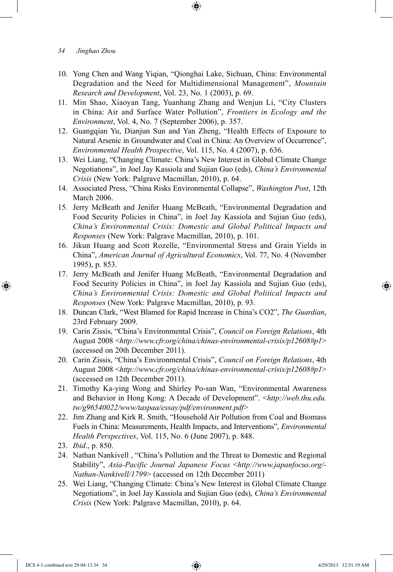- 10. Yong Chen and Wang Yiqian, "Qionghai Lake, Sichuan, China: Environmental Degradation and the Need for Multidimensional Management", *Mountain Research and Development*, Vol. 23, No. 1 (2003), p. 69.
- 11. Min Shao, Xiaoyan Tang, Yuanhang Zhang and Wenjun Li, "City Clusters in China: Air and Surface Water Pollution", *Frontiers in Ecology and the Environment*, Vol. 4, No. 7 (September 2006), p. 357.
- 12. Guangqian Yu, Dianjun Sun and Yan Zheng, "Health Effects of Exposure to Natural Arsenic in Groundwater and Coal in China: An Overview of Occurrence", *Environmental Health Prospective*, Vol. 115, No. 4 (2007), p. 636.
- 13. Wei Liang, "Changing Climate: China's New Interest in Global Climate Change Negotiations", in Joel Jay Kassiola and Sujian Guo (eds), *China's Environmental Crisis* (New York: Palgrave Macmillan, 2010), p. 64.
- 14. Associated Press, "China Risks Environmental Collapse", *Washington Post*, 12th March 2006.
- 15. Jerry McBeath and Jenifer Huang McBeath, "Environmental Degradation and Food Security Policies in China", in Joel Jay Kassiola and Sujian Guo (eds), *China's Environmental Crisis: Domestic and Global Political Impacts and Responses* (New York: Palgrave Macmillan, 2010), p. 101.
- 16. Jikun Huang and Scott Rozelle, "Environmental Stress and Grain Yields in China", *American Journal of Agricultural Economics*, Vol. 77, No. 4 (November 1995), p. 853.
- 17. Jerry McBeath and Jenifer Huang McBeath, "Environmental Degradation and Food Security Policies in China", in Joel Jay Kassiola and Sujian Guo (eds), *China's Environmental Crisis: Domestic and Global Political Impacts and Responses* (New York: Palgrave Macmillan, 2010), p. 93.
- 18. Duncan Clark, "West Blamed for Rapid Increase in China's CO2", *The Guardian*, 23rd February 2009.
- 19. Carin Zissis, "China's Environmental Crisis", *Council on Foreign Relations*, 4th August 2008 <*http://www.cfr.org/china/chinas-environmental-crisis/p12608#p1*> (accessed on 20th December 2011).
- 20. Carin Zissis, "China's Environmental Crisis", *Council on Foreign Relations*, 4th August 2008 <*http://www.cfr.org/china/chinas-environmental-crisis/p12608#p1*> (accessed on 12th December 2011).
- 21. Timothy Ka-ying Wong and Shirley Po-san Wan, "Environmental Awareness and Behavior in Hong Kong: A Decade of Development". <*http://web.thu.edu. tw/g96540022/www/taspaa/essay/pdf/environment.pdf*>
- 22. Jim Zhang and Kirk R. Smith, "Household Air Pollution from Coal and Biomass Fuels in China: Measurements, Health Impacts, and Interventions", *Environmental Health Perspectives*, Vol. 115, No. 6 (June 2007), p. 848.
- 23. *Ibid*., p. 850.

⊕

- 24. Nathan Nankivell , "China's Pollution and the Threat to Domestic and Regional Stability", *Asia-Pacific Journal Japanese Focus* <*http://www.japanfocus.org/- Nathan-Nankivell/1799*> (accessed on 12th December 2011)
- 25. Wei Liang, "Changing Climate: China's New Interest in Global Climate Change Negotiations", in Joel Jay Kassiola and Sujian Guo (eds), *China's Environmental Crisis* (New York: Palgrave Macmillan, 2010), p. 64.

*<sup>34</sup> Jinghao Zhou*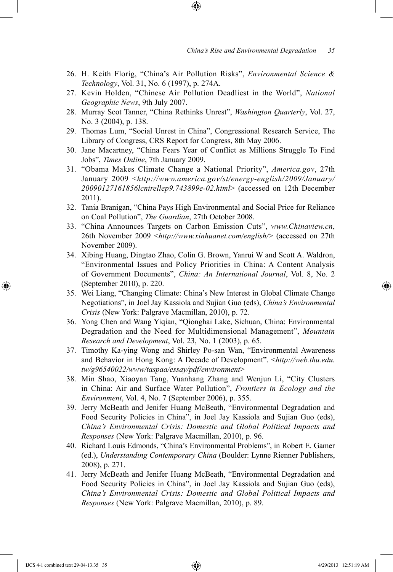26. H. Keith Florig, "China's Air Pollution Risks", *Environmental Science & Technology*, Vol. 31, No. 6 (1997), p. 274A.

⊕

- 27. Kevin Holden, "Chinese Air Pollution Deadliest in the World", *National Geographic News*, 9th July 2007.
- 28. Murray Scot Tanner, "China Rethinks Unrest", *Washington Quarterly*, Vol. 27, No. 3 (2004), p. 138.
- 29. Thomas Lum, "Social Unrest in China", Congressional Research Service, The Library of Congress, CRS Report for Congress, 8th May 2006.
- 30. Jane Macartney, "China Fears Year of Conflict as Millions Struggle To Find Jobs", *Times Online*, 7th January 2009.
- 31. "Obama Makes Climate Change a National Priority", *America.gov*, 27th January 2009 <*http://www.america.gov/st/energy-english/2009/January/ 20090127161856lcnirellep9.743899e-02.html*> (accessed on 12th December 2011).
- 32. Tania Branigan, "China Pays High Environmental and Social Price for Reliance on Coal Pollution", *The Guardian*, 27th October 2008.
- 33. "China Announces Targets on Carbon Emission Cuts", *www.Chinaview.cn*, 26th November 2009 <*http://www.xinhuanet.com/english/*> (accessed on 27th November 2009).
- 34. Xibing Huang, Dingtao Zhao, Colin G. Brown, Yanrui W and Scott A. Waldron, "Environmental Issues and Policy Priorities in China: A Content Analysis of Government Documents", *China: An International Journal*, Vol. 8, No. 2 (September 2010), p. 220.
- 35. Wei Liang, "Changing Climate: China's New Interest in Global Climate Change Negotiations", in Joel Jay Kassiola and Sujian Guo (eds), *China's Environmental Crisis* (New York: Palgrave Macmillan, 2010), p. 72.
- 36. Yong Chen and Wang Yiqian, "Qionghai Lake, Sichuan, China: Environmental Degradation and the Need for Multidimensional Management", *Mountain Research and Development*, Vol. 23, No. 1 (2003), p. 65.
- 37. Timothy Ka-ying Wong and Shirley Po-san Wan, "Environmental Awareness and Behavior in Hong Kong: A Decade of Development". <*http://web.thu.edu. tw/g96540022/www/taspaa/essay/pdf/environment*>
- 38. Min Shao, Xiaoyan Tang, Yuanhang Zhang and Wenjun Li, "City Clusters in China: Air and Surface Water Pollution", *Frontiers in Ecology and the Environment*, Vol. 4, No. 7 (September 2006), p. 355.
- 39. Jerry McBeath and Jenifer Huang McBeath, "Environmental Degradation and Food Security Policies in China", in Joel Jay Kassiola and Sujian Guo (eds), *China's Environmental Crisis: Domestic and Global Political Impacts and Responses* (New York: Palgrave Macmillan, 2010), p. 96.
- 40. Richard Louis Edmonds, "China's Environmental Problems", in Robert E. Gamer (ed.), *Understanding Contemporary China* (Boulder: Lynne Rienner Publishers, 2008), p. 271.
- 41. Jerry McBeath and Jenifer Huang McBeath, "Environmental Degradation and Food Security Policies in China", in Joel Jay Kassiola and Sujian Guo (eds), *China's Environmental Crisis: Domestic and Global Political Impacts and Responses* (New York: Palgrave Macmillan, 2010), p. 89.

⊕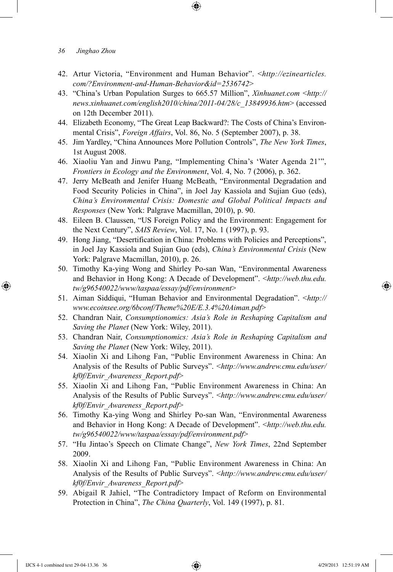42. Artur Victoria, "Environment and Human Behavior". <*http://ezinearticles. com/?Environment-and-Human-Behavior&id=2536742*>

⊕

- 43. "China's Urban Population Surges to 665.57 Million", *Xinhuanet.com* <*http:// news.xinhuanet.com/english2010/china/2011-04/28/c\_13849936.htm*> (accessed on 12th December 2011).
- 44. Elizabeth Economy, "The Great Leap Backward?: The Costs of China's Environmental Crisis", *Foreign Affairs*, Vol. 86, No. 5 (September 2007), p. 38.
- 45. Jim Yardley, "China Announces More Pollution Controls", *The New York Times*, 1st August 2008.
- 46. Xiaoliu Yan and Jinwu Pang, "Implementing China's 'Water Agenda 21'", *Frontiers in Ecology and the Environment*, Vol. 4, No. 7 (2006), p. 362.
- 47. Jerry McBeath and Jenifer Huang McBeath, "Environmental Degradation and Food Security Policies in China", in Joel Jay Kassiola and Sujian Guo (eds), *China's Environmental Crisis: Domestic and Global Political Impacts and Responses* (New York: Palgrave Macmillan, 2010), p. 90.
- 48. Eileen B. Claussen, "US Foreign Policy and the Environment: Engagement for the Next Century", *SAIS Review*, Vol. 17, No. 1 (1997), p. 93.
- 49. Hong Jiang, "Desertification in China: Problems with Policies and Perceptions", in Joel Jay Kassiola and Sujian Guo (eds), *China's Environmental Crisis* (New York: Palgrave Macmillan, 2010), p. 26.
- 50. Timothy Ka-ying Wong and Shirley Po-san Wan, "Environmental Awareness and Behavior in Hong Kong: A Decade of Development". <*http://web.thu.edu. tw/g96540022/www/taspaa/essay/pdf/environment*>
- 51. Aiman Siddiqui, "Human Behavior and Environmental Degradation". <*http:// www.ecoinsee.org/6bconf/Theme%20E/E.3.4%20Aiman.pdf*>
- 52. Chandran Nair, *Consumptionomics: Asia's Role in Reshaping Capitalism and Saving the Planet* (New York: Wiley, 2011).
- 53. Chandran Nair, *Consumptionomics: Asia's Role in Reshaping Capitalism and Saving the Planet* (New York: Wiley, 2011).
- 54. Xiaolin Xi and Lihong Fan, "Public Environment Awareness in China: An Analysis of the Results of Public Surveys". <*http://www.andrew.cmu.edu/user/ kf0f/Envir\_Awareness\_Report.pdf*>
- 55. Xiaolin Xi and Lihong Fan, "Public Environment Awareness in China: An Analysis of the Results of Public Surveys". <*http://www.andrew.cmu.edu/user/ kf0f/Envir\_Awareness\_Report.pdf*>
- 56. Timothy Ka-ying Wong and Shirley Po-san Wan, "Environmental Awareness and Behavior in Hong Kong: A Decade of Development". <*http://web.thu.edu. tw/g96540022/www/taspaa/essay/pdf/environment.pdf*>
- 57. "Hu Jintao's Speech on Climate Change", *New York Times*, 22nd September 2009.
- 58. Xiaolin Xi and Lihong Fan, "Public Environment Awareness in China: An Analysis of the Results of Public Surveys". <*http://www.andrew.cmu.edu/user/ kf0f/Envir\_Awareness\_Report.pdf*>
- 59. Abigail R Jahiel, "The Contradictory Impact of Reform on Environmental Protection in China", *The China Quarterly*, Vol. 149 (1997), p. 81.

IJCS 4-1 combined text 29-04-13.36 36 4/29/2013 12:51:19 AM

⊕

↔

*<sup>36</sup> Jinghao Zhou*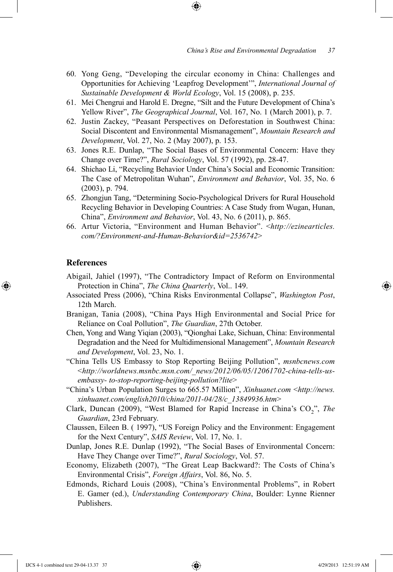60. Yong Geng, "Developing the circular economy in China: Challenges and Opportunities for Achieving 'Leapfrog Development'", *International Journal of Sustainable Development & World Ecology*, Vol. 15 (2008), p. 235.

↔

- 61. Mei Chengrui and Harold E. Dregne, "Silt and the Future Development of China's Yellow River", *The Geographical Journal*, Vol. 167, No. 1 (March 2001), p. 7.
- 62. Justin Zackey, "Peasant Perspectives on Deforestation in Southwest China: Social Discontent and Environmental Mismanagement", *Mountain Research and Development*, Vol. 27, No. 2 (May 2007), p. 153.
- 63. Jones R.E. Dunlap, "The Social Bases of Environmental Concern: Have they Change over Time?", *Rural Sociology*, Vol. 57 (1992), pp. 28-47.
- 64. Shichao Li, "Recycling Behavior Under China's Social and Economic Transition: The Case of Metropolitan Wuhan", *Environment and Behavior*, Vol. 35, No. 6 (2003), p. 794.
- 65. Zhongjun Tang, "Determining Socio-Psychological Drivers for Rural Household Recycling Behavior in Developing Countries: A Case Study from Wugan, Hunan, China", *Environment and Behavior*, Vol. 43, No. 6 (2011), p. 865.
- 66. Artur Victoria, "Environment and Human Behavior". <*http://ezinearticles. com/?Environment-and-Human-Behavior&id=2536742*>

#### **References**

⊕

- Abigail, Jahiel (1997), "The Contradictory Impact of Reform on Environmental Protection in China", *The China Quarterly*, Vol.. 149.
- Associated Press (2006), "China Risks Environmental Collapse", *Washington Post*, 12th March.
- Branigan, Tania (2008), "China Pays High Environmental and Social Price for Reliance on Coal Pollution", *The Guardian*, 27th October.
- Chen, Yong and Wang Yiqian (2003), "Qionghai Lake, Sichuan, China: Environmental Degradation and the Need for Multidimensional Management", *Mountain Research and Development*, Vol. 23, No. 1.
- "China Tells US Embassy to Stop Reporting Beijing Pollution", *msnbcnews.com*  <*http://worldnews.msnbc.msn.com/\_news/2012/06/05/12061702-china-tells-usembassy- to-stop-reporting-beijing-pollution?lite*>
- "China's Urban Population Surges to 665.57 Million", *Xinhuanet.com* <*http://news. xinhuanet.com/english2010/china/2011-04/28/c\_13849936.htm*>
- Clark, Duncan (2009), "West Blamed for Rapid Increase in China's CO<sub>2</sub>", *The Guardian*, 23rd February.
- Claussen, Eileen B. ( 1997), "US Foreign Policy and the Environment: Engagement for the Next Century", *SAIS Review*, Vol. 17, No. 1.
- Dunlap, Jones R.E. Dunlap (1992), "The Social Bases of Environmental Concern: Have They Change over Time?", *Rural Sociology*, Vol. 57.
- Economy, Elizabeth (2007), "The Great Leap Backward?: The Costs of China's Environmental Crisis", *Foreign Affairs*, Vol. 86, No. 5.
- Edmonds, Richard Louis (2008), "China's Environmental Problems", in Robert E. Gamer (ed.), *Understanding Contemporary China*, Boulder: Lynne Rienner Publishers.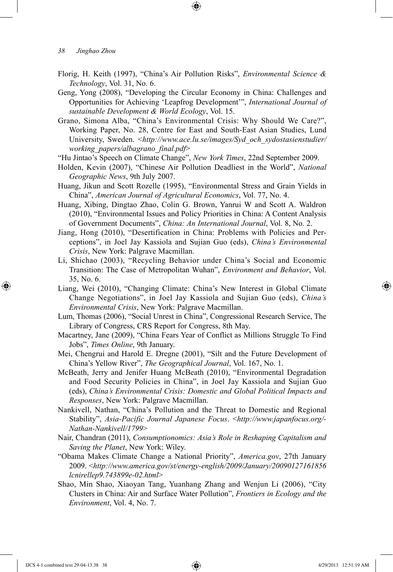*38 Jinghao Zhou* 

- Florig, H. Keith (1997), "China's Air Pollution Risks", *Environmental Science & Technology*, Vol. 31, No. 6.
- Geng, Yong (2008), "Developing the Circular Economy in China: Challenges and Opportunities for Achieving 'Leapfrog Development'", *International Journal of sustainable Development & World Ecology*, Vol. 15.
- Grano, Simona Alba, "China's Environmental Crisis: Why Should We Care?", Working Paper, No. 28, Centre for East and South-East Asian Studies, Lund University, Sweden. <*http://www.ace.lu.se/images/Syd\_och\_sydostasienstudier/ working\_papers/albagrano\_final.pdf*>
- "Hu Jintao's Speech on Climate Change", *New York Times*, 22nd September 2009.
- Holden, Kevin (2007), "Chinese Air Pollution Deadliest in the World", *National Geographic News*, 9th July 2007.
- Huang, Jikun and Scott Rozelle (1995), "Environmental Stress and Grain Yields in China", *American Journal of Agricultural Economics*, Vol. 77, No. 4.
- Huang, Xibing, Dingtao Zhao, Colin G. Brown, Yanrui W and Scott A. Waldron (2010), "Environmental Issues and Policy Priorities in China: A Content Analysis of Government Documents", *China: An International Journal*, Vol. 8, No. 2.
- Jiang, Hong (2010), "Desertification in China: Problems with Policies and Perceptions", in Joel Jay Kassiola and Sujian Guo (eds), *China's Environmental Crisis*, New York: Palgrave Macmillan.
- Li, Shichao (2003), "Recycling Behavior under China's Social and Economic Transition: The Case of Metropolitan Wuhan", *Environment and Behavior*, Vol. 35, No. 6.
- Liang, Wei (2010), "Changing Climate: China's New Interest in Global Climate Change Negotiations", in Joel Jay Kassiola and Sujian Guo (eds), *China's Environmental Crisis*, New York: Palgrave Macmillan.
- Lum, Thomas (2006), "Social Unrest in China", Congressional Research Service, The Library of Congress, CRS Report for Congress, 8th May.
- Macartney, Jane (2009), "China Fears Year of Conflict as Millions Struggle To Find Jobs", *Times Online*, 9th January.
- Mei, Chengrui and Harold E. Dregne (2001), "Silt and the Future Development of China's Yellow River", *The Geographical Journal*, Vol. 167, No. 1.
- McBeath, Jerry and Jenifer Huang McBeath (2010), "Environmental Degradation and Food Security Policies in China", in Joel Jay Kassiola and Sujian Guo (eds), *China's Environmental Crisis: Domestic and Global Political Impacts and Responses*, New York: Palgrave Macmillan.
- Nankivell, Nathan, "China's Pollution and the Threat to Domestic and Regional Stability", *Asia-Pacific Journal Japanese Focus*. <*http://www.japanfocus.org/- Nathan-Nankivell/1799*>
- Nair, Chandran (2011), *Consumptionomics: Asia's Role in Reshaping Capitalism and Saving the Planet*, New York: Wiley.
- "Obama Makes Climate Change a National Priority", *America.gov*, 27th January 2009. <*http://www.america.gov/st/energy-english/2009/January/20090127161856 lcnirellep9.743899e-02.html*>
- Shao, Min Shao, Xiaoyan Tang, Yuanhang Zhang and Wenjun Li (2006), "City Clusters in China: Air and Surface Water Pollution", *Frontiers in Ecology and the Environment*, Vol. 4, No. 7.

IJCS 4-1 combined text 29-04-13.38 38 4/29/2013 12:51:19 AM

⊕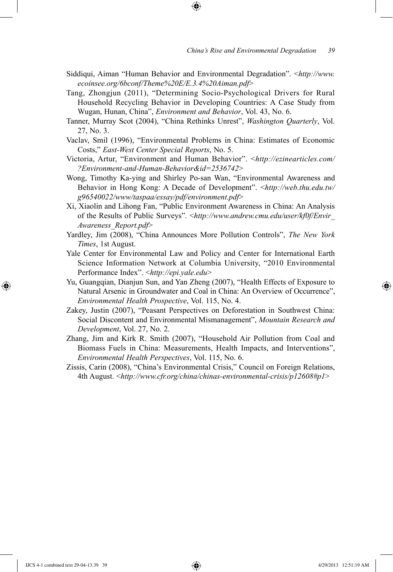Siddiqui, Aiman "Human Behavior and Environmental Degradation". <*http://www. ecoinsee.org/6bconf/Theme%20E/E.3.4%20Aiman.pdf*>

⊕

- Tang, Zhongjun (2011), "Determining Socio-Psychological Drivers for Rural Household Recycling Behavior in Developing Countries: A Case Study from Wugan, Hunan, China", *Environment and Behavior*, Vol. 43, No. 6.
- Tanner, Murray Scot (2004), "China Rethinks Unrest", *Washington Quarterly*, Vol. 27, No. 3.
- Vaclav, Smil (1996), "Environmental Problems in China: Estimates of Economic Costs," *East-West Center Special Reports*, No. 5.
- Victoria, Artur, "Environment and Human Behavior". <*http://ezinearticles.com/ ?Environment-and-Human-Behavior&id=2536742*>
- Wong, Timothy Ka-ying and Shirley Po-san Wan, "Environmental Awareness and Behavior in Hong Kong: A Decade of Development". <*http://web.thu.edu.tw/ g96540022/www/taspaa/essay/pdf/environment.pdf*>
- Xi, Xiaolin and Lihong Fan, "Public Environment Awareness in China: An Analysis of the Results of Public Surveys". <*http://www.andrew.cmu.edu/user/kf0f/Envir\_ Awareness\_Report.pdf*>
- Yardley, Jim (2008), "China Announces More Pollution Controls", *The New York Times*, 1st August.
- Yale Center for Environmental Law and Policy and Center for International Earth Science Information Network at Columbia University, "2010 Environmental Performance Index". <*http://epi.yale.edu*>
- Yu, Guangqian, Dianjun Sun, and Yan Zheng (2007), "Health Effects of Exposure to Natural Arsenic in Groundwater and Coal in China: An Overview of Occurrence", *Environmental Health Prospective*, Vol. 115, No. 4.
- Zakey, Justin (2007), "Peasant Perspectives on Deforestation in Southwest China: Social Discontent and Environmental Mismanagement", *Mountain Research and Development*, Vol. 27, No. 2.
- Zhang, Jim and Kirk R. Smith (2007), "Household Air Pollution from Coal and Biomass Fuels in China: Measurements, Health Impacts, and Interventions", *Environmental Health Perspectives*, Vol. 115, No. 6.
- Zissis, Carin (2008), "China's Environmental Crisis," Council on Foreign Relations, 4th August. <*http://www.cfr.org/china/chinas-environmental-crisis/p12608#p1*>

⊕